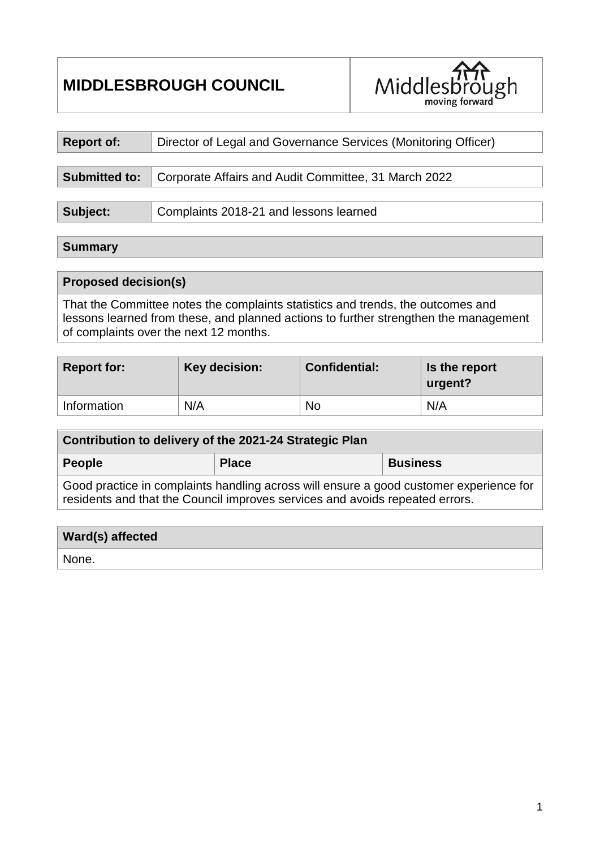# **MIDDLESBROUGH COUNCIL**



| <b>Report of:</b>    | Director of Legal and Governance Services (Monitoring Officer) |
|----------------------|----------------------------------------------------------------|
|                      |                                                                |
| <b>Submitted to:</b> | Corporate Affairs and Audit Committee, 31 March 2022           |
|                      |                                                                |
| Subject:             | Complaints 2018-21 and lessons learned                         |

#### **Summary**

#### **Proposed decision(s)**

That the Committee notes the complaints statistics and trends, the outcomes and lessons learned from these, and planned actions to further strengthen the management of complaints over the next 12 months.

| <b>Report for:</b> | Key decision: | <b>Confidential:</b> | Is the report<br>urgent? |
|--------------------|---------------|----------------------|--------------------------|
| Information        | N/A           | No                   | N/A                      |

| Contribution to delivery of the 2021-24 Strategic Plan                                 |              |                 |  |  |  |
|----------------------------------------------------------------------------------------|--------------|-----------------|--|--|--|
| People                                                                                 | <b>Place</b> | <b>Business</b> |  |  |  |
| Good practice in complaints handling across will ensure a good customer experience for |              |                 |  |  |  |

**Ward(s) affected** None.

residents and that the Council improves services and avoids repeated errors.

1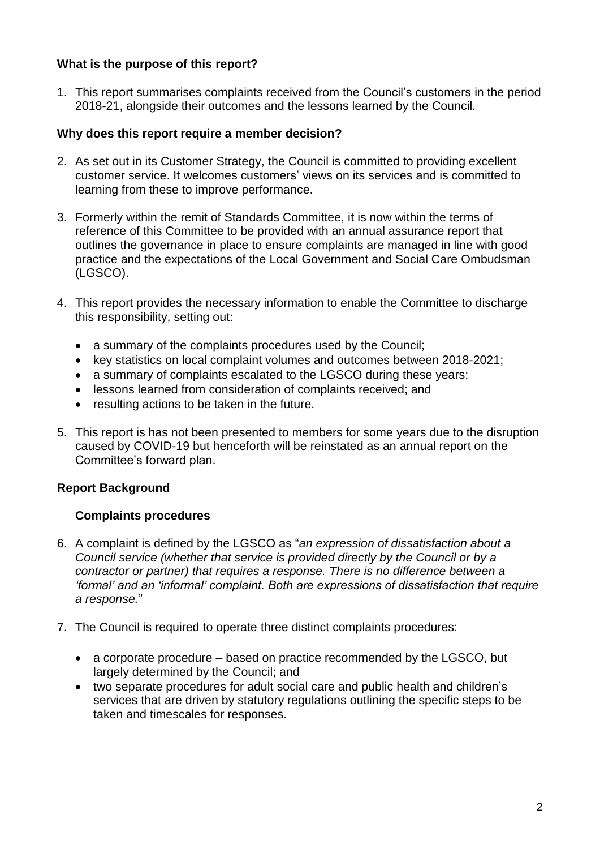# **What is the purpose of this report?**

1. This report summarises complaints received from the Council's customers in the period 2018-21, alongside their outcomes and the lessons learned by the Council.

## **Why does this report require a member decision?**

- 2. As set out in its Customer Strategy, the Council is committed to providing excellent customer service. It welcomes customers' views on its services and is committed to learning from these to improve performance.
- 3. Formerly within the remit of Standards Committee, it is now within the terms of reference of this Committee to be provided with an annual assurance report that outlines the governance in place to ensure complaints are managed in line with good practice and the expectations of the Local Government and Social Care Ombudsman (LGSCO).
- 4. This report provides the necessary information to enable the Committee to discharge this responsibility, setting out:
	- a summary of the complaints procedures used by the Council;
	- key statistics on local complaint volumes and outcomes between 2018-2021;
	- a summary of complaints escalated to the LGSCO during these years;
	- lessons learned from consideration of complaints received; and
	- resulting actions to be taken in the future.
- 5. This report is has not been presented to members for some years due to the disruption caused by COVID-19 but henceforth will be reinstated as an annual report on the Committee's forward plan.

## **Report Background**

## **Complaints procedures**

- 6. A complaint is defined by the LGSCO as "*an expression of dissatisfaction about a Council service (whether that service is provided directly by the Council or by a contractor or partner) that requires a response. There is no difference between a 'formal' and an 'informal' complaint. Both are expressions of dissatisfaction that require a response.*"
- 7. The Council is required to operate three distinct complaints procedures:
	- a corporate procedure based on practice recommended by the LGSCO, but largely determined by the Council; and
	- two separate procedures for adult social care and public health and children's services that are driven by statutory regulations outlining the specific steps to be taken and timescales for responses.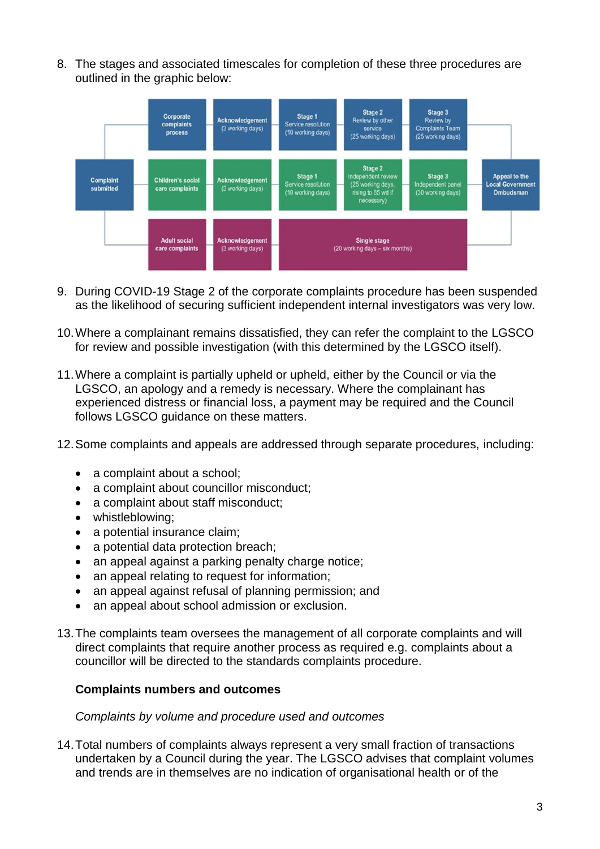8. The stages and associated timescales for completion of these three procedures are outlined in the graphic below:



- 9. During COVID-19 Stage 2 of the corporate complaints procedure has been suspended as the likelihood of securing sufficient independent internal investigators was very low.
- 10.Where a complainant remains dissatisfied, they can refer the complaint to the LGSCO for review and possible investigation (with this determined by the LGSCO itself).
- 11.Where a complaint is partially upheld or upheld, either by the Council or via the LGSCO, an apology and a remedy is necessary. Where the complainant has experienced distress or financial loss, a payment may be required and the Council follows LGSCO guidance on these matters.
- 12.Some complaints and appeals are addressed through separate procedures, including:
	- a complaint about a school:
	- a complaint about councillor misconduct;
	- a complaint about staff misconduct:
	- whistleblowing;
	- a potential insurance claim;
	- a potential data protection breach;
	- an appeal against a parking penalty charge notice;
	- an appeal relating to request for information;
	- an appeal against refusal of planning permission; and
	- an appeal about school admission or exclusion.
- 13.The complaints team oversees the management of all corporate complaints and will direct complaints that require another process as required e.g. complaints about a councillor will be directed to the standards complaints procedure.

#### **Complaints numbers and outcomes**

#### *Complaints by volume and procedure used and outcomes*

14.Total numbers of complaints always represent a very small fraction of transactions undertaken by a Council during the year. The LGSCO advises that complaint volumes and trends are in themselves are no indication of organisational health or of the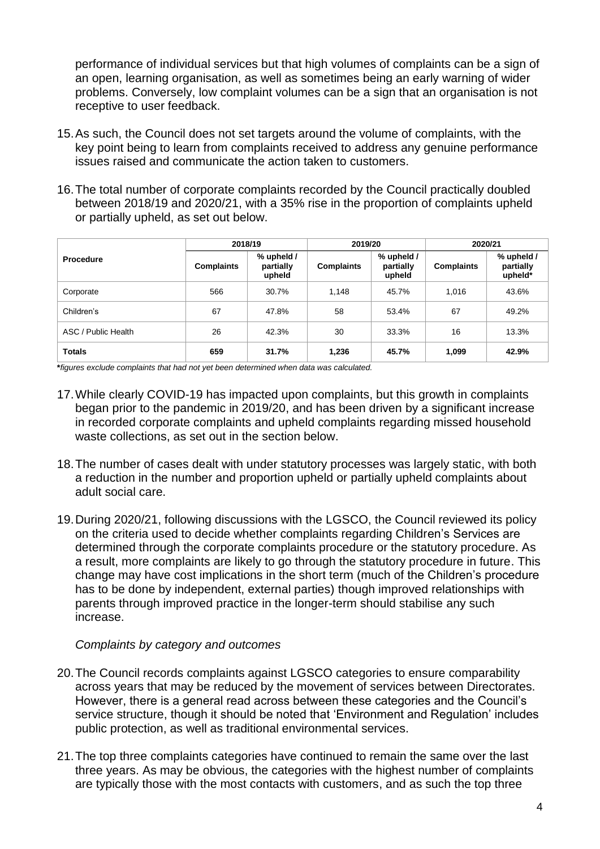performance of individual services but that high volumes of complaints can be a sign of an open, learning organisation, as well as sometimes being an early warning of wider problems. Conversely, low complaint volumes can be a sign that an organisation is not receptive to user feedback.

- 15.As such, the Council does not set targets around the volume of complaints, with the key point being to learn from complaints received to address any genuine performance issues raised and communicate the action taken to customers.
- 16.The total number of corporate complaints recorded by the Council practically doubled between 2018/19 and 2020/21, with a 35% rise in the proportion of complaints upheld or partially upheld, as set out below.

|                     | 2018/19           |                                   | 2019/20           |                                   | 2020/21           |                                    |
|---------------------|-------------------|-----------------------------------|-------------------|-----------------------------------|-------------------|------------------------------------|
| <b>Procedure</b>    | <b>Complaints</b> | % upheld /<br>partially<br>upheld | <b>Complaints</b> | % upheld /<br>partially<br>upheld | <b>Complaints</b> | % upheld /<br>partially<br>upheld* |
| Corporate           | 566               | 30.7%                             | 1,148             | 45.7%                             | 1,016             | 43.6%                              |
| Children's          | 67                | 47.8%                             | 58                | 53.4%                             | 67                | 49.2%                              |
| ASC / Public Health | 26                | 42.3%                             | 30                | 33.3%                             | 16                | 13.3%                              |
| <b>Totals</b>       | 659               | 31.7%                             | 1,236             | 45.7%                             | 1.099             | 42.9%                              |

**\****figures exclude complaints that had not yet been determined when data was calculated.*

- 17.While clearly COVID-19 has impacted upon complaints, but this growth in complaints began prior to the pandemic in 2019/20, and has been driven by a significant increase in recorded corporate complaints and upheld complaints regarding missed household waste collections, as set out in the section below.
- 18.The number of cases dealt with under statutory processes was largely static, with both a reduction in the number and proportion upheld or partially upheld complaints about adult social care.
- 19.During 2020/21, following discussions with the LGSCO, the Council reviewed its policy on the criteria used to decide whether complaints regarding Children's Services are determined through the corporate complaints procedure or the statutory procedure. As a result, more complaints are likely to go through the statutory procedure in future. This change may have cost implications in the short term (much of the Children's procedure has to be done by independent, external parties) though improved relationships with parents through improved practice in the longer-term should stabilise any such increase.

#### *Complaints by category and outcomes*

- 20.The Council records complaints against LGSCO categories to ensure comparability across years that may be reduced by the movement of services between Directorates. However, there is a general read across between these categories and the Council's service structure, though it should be noted that 'Environment and Regulation' includes public protection, as well as traditional environmental services.
- 21.The top three complaints categories have continued to remain the same over the last three years. As may be obvious, the categories with the highest number of complaints are typically those with the most contacts with customers, and as such the top three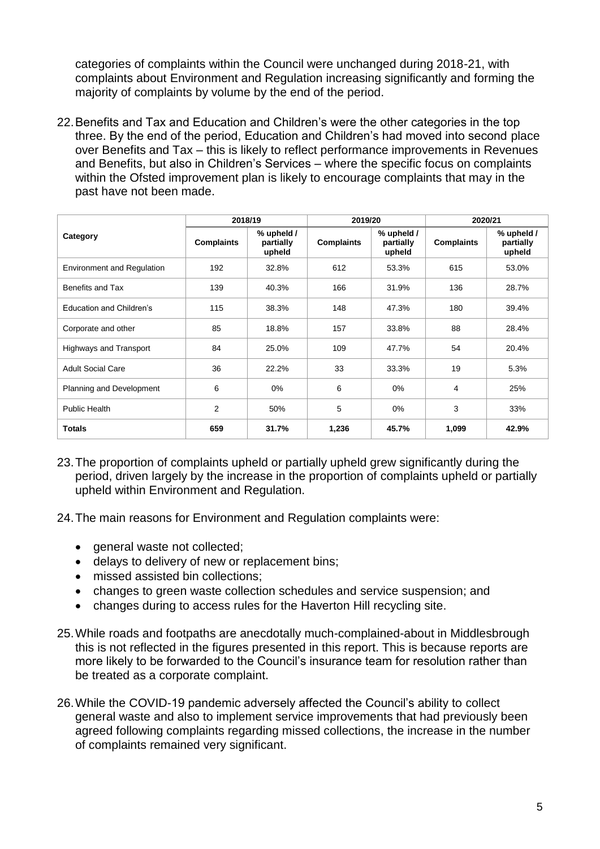categories of complaints within the Council were unchanged during 2018-21, with complaints about Environment and Regulation increasing significantly and forming the majority of complaints by volume by the end of the period.

22.Benefits and Tax and Education and Children's were the other categories in the top three. By the end of the period, Education and Children's had moved into second place over Benefits and Tax – this is likely to reflect performance improvements in Revenues and Benefits, but also in Children's Services – where the specific focus on complaints within the Ofsted improvement plan is likely to encourage complaints that may in the past have not been made.

|                                   | 2018/19           |                                   | 2019/20           |                                   | 2020/21           |                                   |
|-----------------------------------|-------------------|-----------------------------------|-------------------|-----------------------------------|-------------------|-----------------------------------|
| Category                          | <b>Complaints</b> | % upheld /<br>partially<br>upheld | <b>Complaints</b> | % upheld /<br>partially<br>upheld | <b>Complaints</b> | % upheld /<br>partially<br>upheld |
| <b>Environment and Regulation</b> | 192               | 32.8%                             | 612               | 53.3%                             | 615               | 53.0%                             |
| Benefits and Tax                  | 139               | 40.3%                             | 166               | 31.9%                             | 136               | 28.7%                             |
| Education and Children's          | 115               | 38.3%                             | 148               | 47.3%                             | 180               | 39.4%                             |
| Corporate and other               | 85                | 18.8%                             | 157               | 33.8%                             | 88                | 28.4%                             |
| <b>Highways and Transport</b>     | 84                | 25.0%                             | 109               | 47.7%                             | 54                | 20.4%                             |
| <b>Adult Social Care</b>          | 36                | 22.2%                             | 33                | 33.3%                             | 19                | 5.3%                              |
| Planning and Development          | 6                 | $0\%$                             | 6                 | 0%                                | 4                 | 25%                               |
| <b>Public Health</b>              | $\overline{2}$    | 50%                               | 5                 | $0\%$                             | 3                 | 33%                               |
| <b>Totals</b>                     | 659               | 31.7%                             | 1,236             | 45.7%                             | 1,099             | 42.9%                             |

- 23.The proportion of complaints upheld or partially upheld grew significantly during the period, driven largely by the increase in the proportion of complaints upheld or partially upheld within Environment and Regulation.
- 24.The main reasons for Environment and Regulation complaints were:
	- general waste not collected;
	- delays to delivery of new or replacement bins;
	- missed assisted bin collections;
	- changes to green waste collection schedules and service suspension; and
	- changes during to access rules for the Haverton Hill recycling site.
- 25.While roads and footpaths are anecdotally much-complained-about in Middlesbrough this is not reflected in the figures presented in this report. This is because reports are more likely to be forwarded to the Council's insurance team for resolution rather than be treated as a corporate complaint.
- 26.While the COVID-19 pandemic adversely affected the Council's ability to collect general waste and also to implement service improvements that had previously been agreed following complaints regarding missed collections, the increase in the number of complaints remained very significant.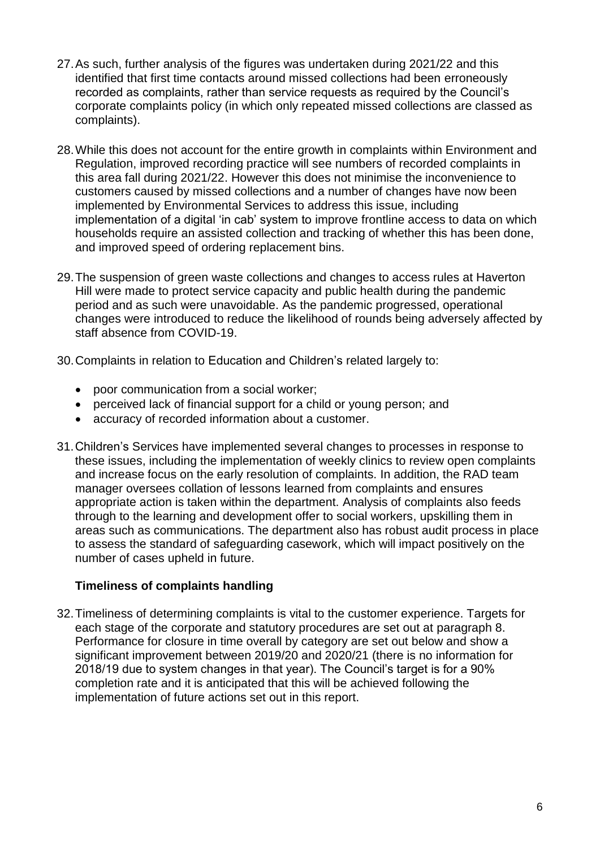- 27.As such, further analysis of the figures was undertaken during 2021/22 and this identified that first time contacts around missed collections had been erroneously recorded as complaints, rather than service requests as required by the Council's corporate complaints policy (in which only repeated missed collections are classed as complaints).
- 28.While this does not account for the entire growth in complaints within Environment and Regulation, improved recording practice will see numbers of recorded complaints in this area fall during 2021/22. However this does not minimise the inconvenience to customers caused by missed collections and a number of changes have now been implemented by Environmental Services to address this issue, including implementation of a digital 'in cab' system to improve frontline access to data on which households require an assisted collection and tracking of whether this has been done, and improved speed of ordering replacement bins.
- 29.The suspension of green waste collections and changes to access rules at Haverton Hill were made to protect service capacity and public health during the pandemic period and as such were unavoidable. As the pandemic progressed, operational changes were introduced to reduce the likelihood of rounds being adversely affected by staff absence from COVID-19.
- 30.Complaints in relation to Education and Children's related largely to:
	- poor communication from a social worker;
	- perceived lack of financial support for a child or young person; and
	- accuracy of recorded information about a customer.
- 31.Children's Services have implemented several changes to processes in response to these issues, including the implementation of weekly clinics to review open complaints and increase focus on the early resolution of complaints. In addition, the RAD team manager oversees collation of lessons learned from complaints and ensures appropriate action is taken within the department. Analysis of complaints also feeds through to the learning and development offer to social workers, upskilling them in areas such as communications. The department also has robust audit process in place to assess the standard of safeguarding casework, which will impact positively on the number of cases upheld in future.

#### **Timeliness of complaints handling**

32.Timeliness of determining complaints is vital to the customer experience. Targets for each stage of the corporate and statutory procedures are set out at paragraph 8. Performance for closure in time overall by category are set out below and show a significant improvement between 2019/20 and 2020/21 (there is no information for 2018/19 due to system changes in that year). The Council's target is for a 90% completion rate and it is anticipated that this will be achieved following the implementation of future actions set out in this report.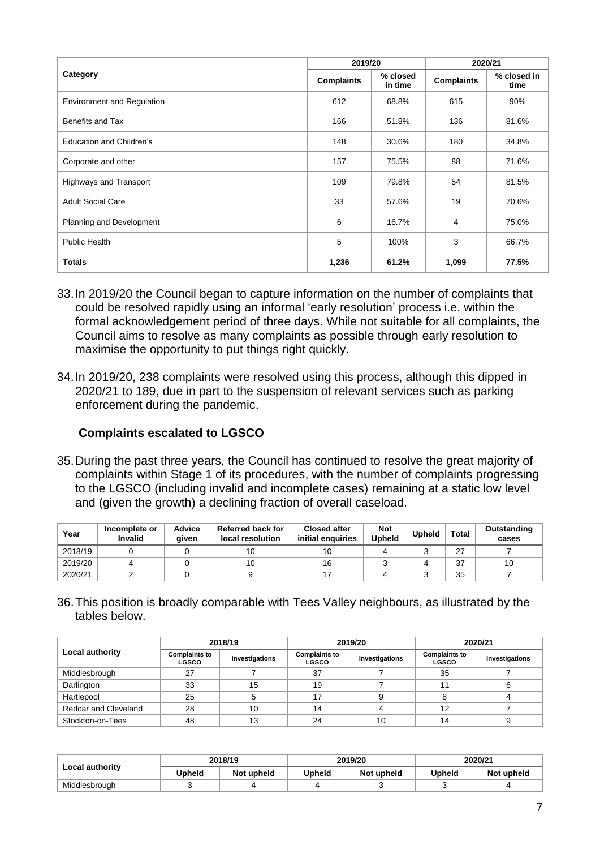|                                   | 2019/20           |                     | 2020/21           |                     |
|-----------------------------------|-------------------|---------------------|-------------------|---------------------|
| Category                          | <b>Complaints</b> | % closed<br>in time | <b>Complaints</b> | % closed in<br>time |
| <b>Environment and Regulation</b> | 612               | 68.8%               | 615               | 90%                 |
| Benefits and Tax                  | 166               | 51.8%               | 136               | 81.6%               |
| <b>Education and Children's</b>   | 148               | 30.6%               | 180               | 34.8%               |
| Corporate and other               | 157               | 75.5%               | 88                | 71.6%               |
| Highways and Transport            | 109               | 79.8%               | 54                | 81.5%               |
| <b>Adult Social Care</b>          | 33                | 57.6%               | 19                | 70.6%               |
| Planning and Development          | 6                 | 16.7%               | 4                 | 75.0%               |
| <b>Public Health</b>              | 5                 | 100%                | 3                 | 66.7%               |
| <b>Totals</b>                     | 1,236             | 61.2%               | 1,099             | 77.5%               |

- 33.In 2019/20 the Council began to capture information on the number of complaints that could be resolved rapidly using an informal 'early resolution' process i.e. within the formal acknowledgement period of three days. While not suitable for all complaints, the Council aims to resolve as many complaints as possible through early resolution to maximise the opportunity to put things right quickly.
- 34.In 2019/20, 238 complaints were resolved using this process, although this dipped in 2020/21 to 189, due in part to the suspension of relevant services such as parking enforcement during the pandemic.

# **Complaints escalated to LGSCO**

35.During the past three years, the Council has continued to resolve the great majority of complaints within Stage 1 of its procedures, with the number of complaints progressing to the LGSCO (including invalid and incomplete cases) remaining at a static low level and (given the growth) a declining fraction of overall caseload.

| Year    | Incomplete or<br><b>Invalid</b> | <b>Advice</b><br>aiven | Referred back for<br>local resolution | <b>Closed after</b><br>initial enquiries | <b>Not</b><br><b>Upheld</b> | <b>Upheld</b> | <b>Total</b> | Outstanding<br>cases |
|---------|---------------------------------|------------------------|---------------------------------------|------------------------------------------|-----------------------------|---------------|--------------|----------------------|
| 2018/19 |                                 |                        | 10                                    | 10                                       |                             |               | 27           |                      |
| 2019/20 |                                 |                        | 10                                    | 16                                       |                             |               | 37           | 10                   |
| 2020/21 |                                 |                        |                                       |                                          |                             |               | 35           |                      |

36.This position is broadly comparable with Tees Valley neighbours, as illustrated by the tables below.

|                             | 2018/19                              |                | 2019/20                              |                | 2020/21                              |                |
|-----------------------------|--------------------------------------|----------------|--------------------------------------|----------------|--------------------------------------|----------------|
| Local authority             | <b>Complaints to</b><br><b>LGSCO</b> | Investigations | <b>Complaints to</b><br><b>LGSCO</b> | Investigations | <b>Complaints to</b><br><b>LGSCO</b> | Investigations |
| Middlesbrough               | 27                                   |                | 37                                   |                | 35                                   |                |
| Darlington                  | 33                                   | 15             | 19                                   |                |                                      |                |
| Hartlepool                  | 25                                   |                | 17                                   |                |                                      |                |
| <b>Redcar and Cleveland</b> | 28                                   | 10             | 14                                   |                | 12                                   |                |
| Stockton-on-Tees            | 48                                   | 13             | 24                                   | 10             | 14                                   |                |

|                        | 2018/19 |            | 2019/20       |            | 2020/21 |            |
|------------------------|---------|------------|---------------|------------|---------|------------|
| <b>Local authority</b> | Upheld  | Not upheld | <b>Upheld</b> | Not upheld | Upheld  | Not upheld |
| Middlesbrough          |         |            |               |            |         |            |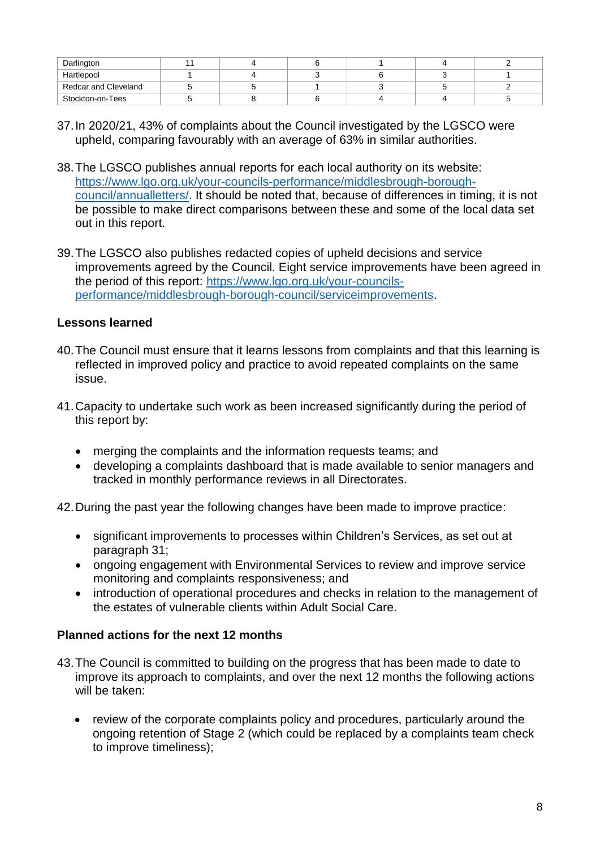| Darlington           |  |  |  |
|----------------------|--|--|--|
| Hartlepool           |  |  |  |
| Redcar and Cleveland |  |  |  |
| Stockton-on-Tees     |  |  |  |

- 37.In 2020/21, 43% of complaints about the Council investigated by the LGSCO were upheld, comparing favourably with an average of 63% in similar authorities.
- 38.The LGSCO publishes annual reports for each local authority on its website: [https://www.lgo.org.uk/your-councils-performance/middlesbrough-borough](https://www.lgo.org.uk/your-councils-performance/middlesbrough-borough-council/annualletters/)[council/annualletters/.](https://www.lgo.org.uk/your-councils-performance/middlesbrough-borough-council/annualletters/) It should be noted that, because of differences in timing, it is not be possible to make direct comparisons between these and some of the local data set out in this report.
- 39.The LGSCO also publishes redacted copies of upheld decisions and service improvements agreed by the Council. Eight service improvements have been agreed in the period of this report: [https://www.lgo.org.uk/your-councils](https://www.lgo.org.uk/your-councils-performance/middlesbrough-borough-council/serviceimprovements)[performance/middlesbrough-borough-council/serviceimprovements.](https://www.lgo.org.uk/your-councils-performance/middlesbrough-borough-council/serviceimprovements)

#### **Lessons learned**

- 40.The Council must ensure that it learns lessons from complaints and that this learning is reflected in improved policy and practice to avoid repeated complaints on the same issue.
- 41.Capacity to undertake such work as been increased significantly during the period of this report by:
	- merging the complaints and the information requests teams; and
	- developing a complaints dashboard that is made available to senior managers and tracked in monthly performance reviews in all Directorates.

42.During the past year the following changes have been made to improve practice:

- significant improvements to processes within Children's Services, as set out at paragraph 31;
- ongoing engagement with Environmental Services to review and improve service monitoring and complaints responsiveness; and
- introduction of operational procedures and checks in relation to the management of the estates of vulnerable clients within Adult Social Care.

# **Planned actions for the next 12 months**

- 43.The Council is committed to building on the progress that has been made to date to improve its approach to complaints, and over the next 12 months the following actions will be taken:
	- review of the corporate complaints policy and procedures, particularly around the ongoing retention of Stage 2 (which could be replaced by a complaints team check to improve timeliness);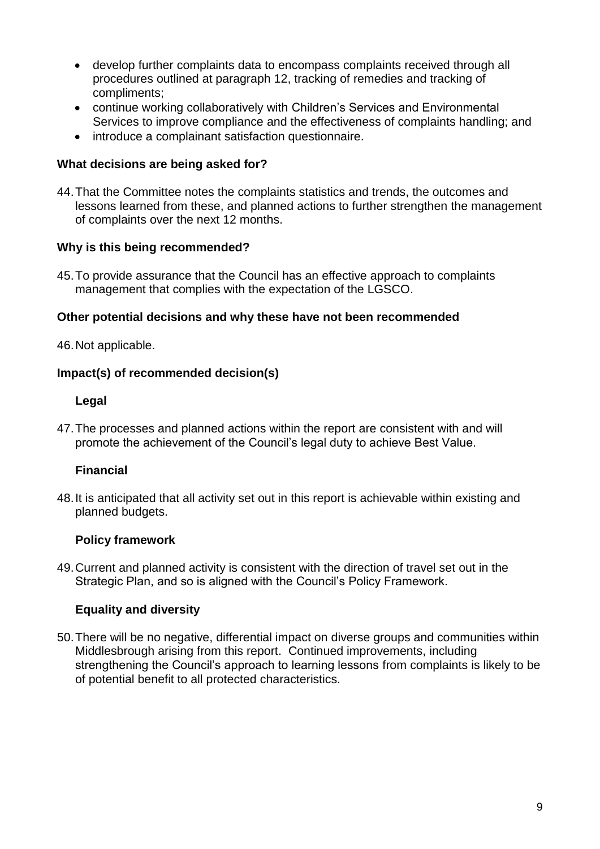- develop further complaints data to encompass complaints received through all procedures outlined at paragraph 12, tracking of remedies and tracking of compliments;
- continue working collaboratively with Children's Services and Environmental Services to improve compliance and the effectiveness of complaints handling; and
- introduce a complainant satisfaction questionnaire.

#### **What decisions are being asked for?**

44.That the Committee notes the complaints statistics and trends, the outcomes and lessons learned from these, and planned actions to further strengthen the management of complaints over the next 12 months.

#### **Why is this being recommended?**

45.To provide assurance that the Council has an effective approach to complaints management that complies with the expectation of the LGSCO.

#### **Other potential decisions and why these have not been recommended**

46.Not applicable.

#### **Impact(s) of recommended decision(s)**

#### **Legal**

47.The processes and planned actions within the report are consistent with and will promote the achievement of the Council's legal duty to achieve Best Value.

## **Financial**

48.It is anticipated that all activity set out in this report is achievable within existing and planned budgets.

## **Policy framework**

49.Current and planned activity is consistent with the direction of travel set out in the Strategic Plan, and so is aligned with the Council's Policy Framework.

## **Equality and diversity**

50.There will be no negative, differential impact on diverse groups and communities within Middlesbrough arising from this report. Continued improvements, including strengthening the Council's approach to learning lessons from complaints is likely to be of potential benefit to all protected characteristics.